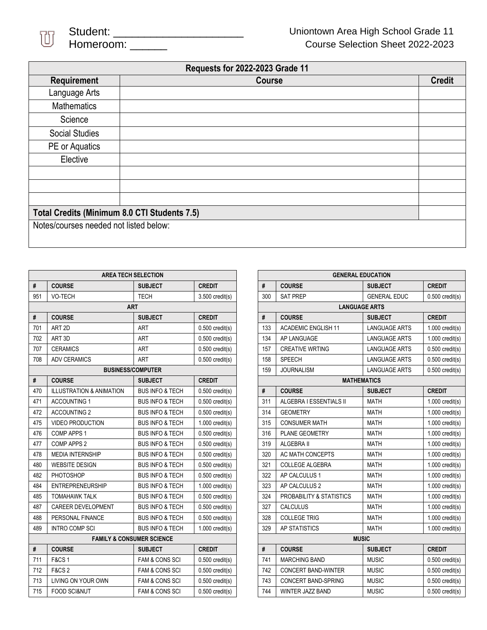

| <b>Requests for 2022-2023 Grade 11</b>       |               |               |  |  |
|----------------------------------------------|---------------|---------------|--|--|
| Requirement                                  | <b>Course</b> | <b>Credit</b> |  |  |
| Language Arts                                |               |               |  |  |
| <b>Mathematics</b>                           |               |               |  |  |
| Science                                      |               |               |  |  |
| <b>Social Studies</b>                        |               |               |  |  |
| PE or Aquatics                               |               |               |  |  |
| Elective                                     |               |               |  |  |
|                                              |               |               |  |  |
|                                              |               |               |  |  |
|                                              |               |               |  |  |
| Total Credits (Minimum 8.0 CTI Students 7.5) |               |               |  |  |
| Notes/courses needed not listed below:       |               |               |  |  |
|                                              |               |               |  |  |

| <b>AREA TECH SELECTION</b>           |                                     |                            |                   |  |  |  |
|--------------------------------------|-------------------------------------|----------------------------|-------------------|--|--|--|
| #                                    | <b>COURSE</b>                       | <b>SUBJECT</b>             | <b>CREDIT</b>     |  |  |  |
| 951                                  | <b>VO-TECH</b>                      | <b>TECH</b>                | $3.500$ credit(s) |  |  |  |
| <b>ART</b>                           |                                     |                            |                   |  |  |  |
| #                                    | <b>COURSE</b>                       | <b>SUBJECT</b>             | <b>CREDIT</b>     |  |  |  |
| 701                                  | ART <sub>2D</sub>                   | ART                        | $0.500$ credit(s) |  |  |  |
| 702                                  | ART <sub>3D</sub>                   | <b>ART</b>                 | $0.500$ credit(s) |  |  |  |
| 707                                  | <b>CERAMICS</b>                     | ART                        | $0.500$ credit(s) |  |  |  |
| 708                                  | <b>ADV CERAMICS</b>                 | <b>ART</b>                 | $0.500$ credit(s) |  |  |  |
|                                      | <b>BUSINESS/COMPUTER</b>            |                            |                   |  |  |  |
| #                                    | <b>COURSE</b>                       | <b>SUBJECT</b>             | <b>CREDIT</b>     |  |  |  |
| 470                                  | <b>ILLUSTRATION &amp; ANIMATION</b> | <b>BUS INFO &amp; TECH</b> | $0.500$ credit(s) |  |  |  |
| 471                                  | <b>ACCOUNTING 1</b>                 | <b>BUS INFO &amp; TECH</b> | $0.500$ credit(s) |  |  |  |
| 472                                  | <b>ACCOUNTING 2</b>                 | <b>BUS INFO &amp; TECH</b> | $0.500$ credit(s) |  |  |  |
| 475                                  | <b>VIDEO PRODUCTION</b>             | <b>BUS INFO &amp; TECH</b> | $1.000$ credit(s) |  |  |  |
| 476                                  | COMP APPS 1                         | <b>BUS INFO &amp; TECH</b> | $0.500$ credit(s) |  |  |  |
| 477                                  | COMP APPS 2                         | <b>BUS INFO &amp; TECH</b> | $0.500$ credit(s) |  |  |  |
| 478                                  | <b>MEDIA INTERNSHIP</b>             | <b>BUS INFO &amp; TECH</b> | $0.500$ credit(s) |  |  |  |
| 480                                  | <b>WEBSITE DESIGN</b>               | <b>BUS INFO &amp; TECH</b> | $0.500$ credit(s) |  |  |  |
| 482                                  | <b>PHOTOSHOP</b>                    | <b>BUS INFO &amp; TECH</b> | $0.500$ credit(s) |  |  |  |
| 484                                  | <b>ENTREPRENEURSHIP</b>             | <b>BUS INFO &amp; TECH</b> | $1.000$ credit(s) |  |  |  |
| 485                                  | <b>TOMAHAWK TALK</b>                | <b>BUS INFO &amp; TECH</b> | $0.500$ credit(s) |  |  |  |
| 487                                  | <b>CAREER DEVELOPMENT</b>           | <b>BUS INFO &amp; TECH</b> | $0.500$ credit(s) |  |  |  |
| 488                                  | PERSONAL FINANCE                    | <b>BUS INFO &amp; TECH</b> | $0.500$ credit(s) |  |  |  |
| 489                                  | <b>INTRO COMP SCI</b>               | <b>BUS INFO &amp; TECH</b> | $1.000$ credit(s) |  |  |  |
| <b>FAMILY &amp; CONSUMER SCIENCE</b> |                                     |                            |                   |  |  |  |
| #                                    | <b>COURSE</b>                       | <b>SUBJECT</b>             | <b>CREDIT</b>     |  |  |  |
| 711                                  | <b>F&amp;CS1</b>                    | FAM & CONS SCI             | $0.500$ credit(s) |  |  |  |
| 712                                  | <b>F&amp;CS2</b>                    | <b>FAM &amp; CONS SCI</b>  | $0.500$ credit(s) |  |  |  |
| 713                                  | <b>LIVING ON YOUR OWN</b>           | <b>FAM &amp; CONS SCI</b>  | $0.500$ credit(s) |  |  |  |
| 715                                  | <b>FOOD SCI&amp;NUT</b>             | <b>FAM &amp; CONS SCI</b>  | $0.500$ credit(s) |  |  |  |

| <b>GENERAL EDUCATION</b> |                            |                      |                   |  |  |  |
|--------------------------|----------------------------|----------------------|-------------------|--|--|--|
| #                        | <b>COURSE</b>              | <b>SUBJECT</b>       | <b>CREDIT</b>     |  |  |  |
| 300                      | <b>SAT PREP</b>            | <b>GENERAL EDUC</b>  | $0.500$ credit(s) |  |  |  |
| <b>LANGUAGE ARTS</b>     |                            |                      |                   |  |  |  |
| #                        | <b>COURSE</b>              | <b>SUBJECT</b>       | <b>CREDIT</b>     |  |  |  |
| 133                      | <b>ACADEMIC ENGLISH 11</b> | <b>LANGUAGE ARTS</b> | $1.000$ credit(s) |  |  |  |
| 134                      | AP LANGUAGE                | <b>LANGUAGE ARTS</b> | $1.000$ credit(s) |  |  |  |
| 157                      | <b>CREATIVE WRTING</b>     | <b>LANGUAGE ARTS</b> | $0.500$ credit(s) |  |  |  |
| 158                      | <b>SPEECH</b>              | <b>LANGUAGE ARTS</b> | $0.500$ credit(s) |  |  |  |
| 159                      | <b>JOURNALISM</b>          | <b>LANGUAGE ARTS</b> | $0.500$ credit(s) |  |  |  |
| <b>MATHEMATICS</b>       |                            |                      |                   |  |  |  |
| #                        | <b>COURSE</b>              | <b>SUBJECT</b>       | <b>CREDIT</b>     |  |  |  |
| 311                      | ALGEBRA I ESSENTIALS II    | <b>MATH</b>          | $1.000$ credit(s) |  |  |  |
| 314                      | <b>GEOMETRY</b>            | <b>MATH</b>          | $1.000$ credit(s) |  |  |  |
| 315                      | <b>CONSUMER MATH</b>       | <b>MATH</b>          | $1.000$ credit(s) |  |  |  |
| 316                      | <b>PLANE GEOMETRY</b>      | <b>MATH</b>          | $1.000$ credit(s) |  |  |  |
| 319                      | ALGEBRA II                 | <b>MATH</b>          | $1.000$ credit(s) |  |  |  |
| 320                      | <b>AC MATH CONCEPTS</b>    | <b>MATH</b>          | $1.000$ credit(s) |  |  |  |
| 321                      | <b>COLLEGE ALGEBRA</b>     | <b>MATH</b>          | $1.000$ credit(s) |  |  |  |
| 322                      | AP CALCULUS 1              | <b>MATH</b>          | $1.000$ credit(s) |  |  |  |
| 323                      | AP CALCULUS 2              | <b>MATH</b>          | $1.000$ credit(s) |  |  |  |
| 324                      | PROBABILITY & STATISTICS   | <b>MATH</b>          | $1.000$ credit(s) |  |  |  |
| 327                      | <b>CALCULUS</b>            | <b>MATH</b>          | $1.000$ credit(s) |  |  |  |
| 328                      | <b>COLLEGE TRIG</b>        | <b>MATH</b>          | $1.000$ credit(s) |  |  |  |
| 329                      | AP STATISTICS              | <b>MATH</b>          | $1.000$ credit(s) |  |  |  |
| <b>MUSIC</b>             |                            |                      |                   |  |  |  |
| #                        | <b>COURSE</b>              | <b>SUBJECT</b>       | <b>CREDIT</b>     |  |  |  |
| 741                      | <b>MARCHING BAND</b>       | <b>MUSIC</b>         | $0.500$ credit(s) |  |  |  |
| 742                      | <b>CONCERT BAND-WINTER</b> | <b>MUSIC</b>         | $0.500$ credit(s) |  |  |  |
| 743                      | <b>CONCERT BAND-SPRING</b> | <b>MUSIC</b>         | $0.500$ credit(s) |  |  |  |
| 744                      | WINTER JAZZ BAND           | <b>MUSIC</b>         | $0.500$ credit(s) |  |  |  |